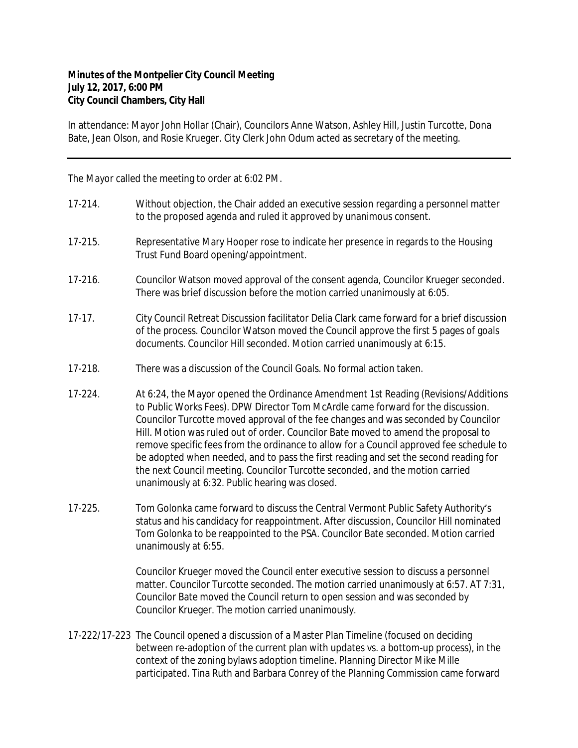## **Minutes of the Montpelier City Council Meeting July 12, 2017, 6:00 PM City Council Chambers, City Hall**

In attendance: Mayor John Hollar (Chair), Councilors Anne Watson, Ashley Hill, Justin Turcotte, Dona Bate, Jean Olson, and Rosie Krueger. City Clerk John Odum acted as secretary of the meeting.

The Mayor called the meeting to order at 6:02 PM.

| 17-214.  | Without objection, the Chair added an executive session regarding a personnel matter<br>to the proposed agenda and ruled it approved by unanimous consent.                                                                                                                                                                                                                                                                                                                                                                                                                                                                                                                |
|----------|---------------------------------------------------------------------------------------------------------------------------------------------------------------------------------------------------------------------------------------------------------------------------------------------------------------------------------------------------------------------------------------------------------------------------------------------------------------------------------------------------------------------------------------------------------------------------------------------------------------------------------------------------------------------------|
| 17-215.  | Representative Mary Hooper rose to indicate her presence in regards to the Housing<br>Trust Fund Board opening/appointment.                                                                                                                                                                                                                                                                                                                                                                                                                                                                                                                                               |
| 17-216.  | Councilor Watson moved approval of the consent agenda, Councilor Krueger seconded.<br>There was brief discussion before the motion carried unanimously at 6:05.                                                                                                                                                                                                                                                                                                                                                                                                                                                                                                           |
| $17-17.$ | City Council Retreat Discussion facilitator Delia Clark came forward for a brief discussion<br>of the process. Councilor Watson moved the Council approve the first 5 pages of goals<br>documents. Councilor Hill seconded. Motion carried unanimously at 6:15.                                                                                                                                                                                                                                                                                                                                                                                                           |
| 17-218.  | There was a discussion of the Council Goals. No formal action taken.                                                                                                                                                                                                                                                                                                                                                                                                                                                                                                                                                                                                      |
| 17-224.  | At 6:24, the Mayor opened the Ordinance Amendment 1st Reading (Revisions/Additions<br>to Public Works Fees). DPW Director Tom McArdle came forward for the discussion.<br>Councilor Turcotte moved approval of the fee changes and was seconded by Councilor<br>Hill. Motion was ruled out of order. Councilor Bate moved to amend the proposal to<br>remove specific fees from the ordinance to allow for a Council approved fee schedule to<br>be adopted when needed, and to pass the first reading and set the second reading for<br>the next Council meeting. Councilor Turcotte seconded, and the motion carried<br>unanimously at 6:32. Public hearing was closed. |
| 17-225.  | Tom Golonka came forward to discuss the Central Vermont Public Safety Authority's<br>status and his candidacy for reappointment. After discussion, Councilor Hill nominated<br>Tom Golonka to be reappointed to the PSA. Councilor Bate seconded. Motion carried<br>unanimously at 6:55.                                                                                                                                                                                                                                                                                                                                                                                  |
|          | Councilor Krueger moved the Council enter executive session to discuss a personnel<br>matter. Councilor Turcotte seconded. The motion carried unanimously at 6:57. AT 7:31,<br>Councilor Bate moved the Council return to open session and was seconded by                                                                                                                                                                                                                                                                                                                                                                                                                |

17-222/17-223 The Council opened a discussion of a Master Plan Timeline (focused on deciding between re-adoption of the current plan with updates vs. a bottom-up process), in the context of the zoning bylaws adoption timeline. Planning Director Mike Mille participated. Tina Ruth and Barbara Conrey of the Planning Commission came forward

Councilor Krueger. The motion carried unanimously.